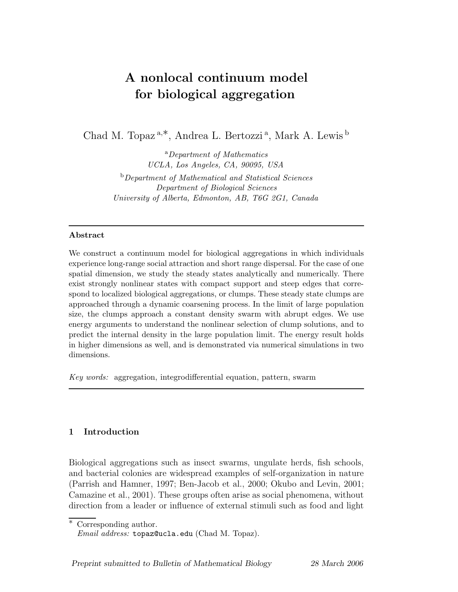# A nonlocal continuum model for biological aggregation

Chad M. Topaz<sup>a,\*</sup>, Andrea L. Bertozzi<sup>a</sup>, Mark A. Lewis<sup>b</sup>

<sup>a</sup>Department of Mathematics UCLA, Los Angeles, CA, 90095, USA <sup>b</sup>Department of Mathematical and Statistical Sciences Department of Biological Sciences University of Alberta, Edmonton, AB, T6G 2G1, Canada

#### Abstract

We construct a continuum model for biological aggregations in which individuals experience long-range social attraction and short range dispersal. For the case of one spatial dimension, we study the steady states analytically and numerically. There exist strongly nonlinear states with compact support and steep edges that correspond to localized biological aggregations, or clumps. These steady state clumps are approached through a dynamic coarsening process. In the limit of large population size, the clumps approach a constant density swarm with abrupt edges. We use energy arguments to understand the nonlinear selection of clump solutions, and to predict the internal density in the large population limit. The energy result holds in higher dimensions as well, and is demonstrated via numerical simulations in two dimensions.

Key words: aggregation, integrodifferential equation, pattern, swarm

## 1 Introduction

Biological aggregations such as insect swarms, ungulate herds, fish schools, and bacterial colonies are widespread examples of self-organization in nature (Parrish and Hamner, 1997; Ben-Jacob et al., 2000; Okubo and Levin, 2001; Camazine et al., 2001). These groups often arise as social phenomena, without direction from a leader or influence of external stimuli such as food and light

∗ Corresponding author.

*Email address:* topaz@ucla.edu (Chad M. Topaz).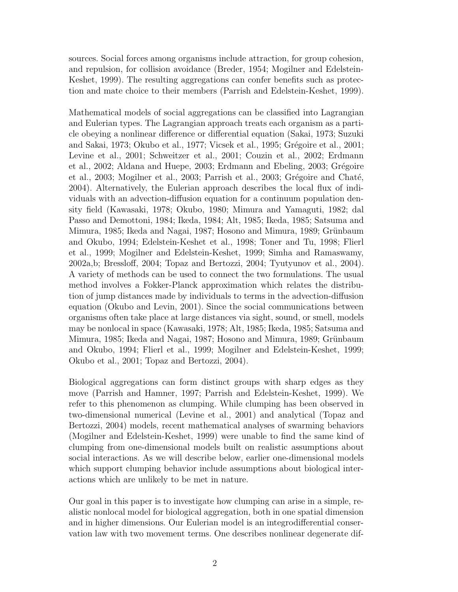sources. Social forces among organisms include attraction, for group cohesion, and repulsion, for collision avoidance (Breder, 1954; Mogilner and Edelstein-Keshet, 1999). The resulting aggregations can confer benefits such as protection and mate choice to their members (Parrish and Edelstein-Keshet, 1999).

Mathematical models of social aggregations can be classified into Lagrangian and Eulerian types. The Lagrangian approach treats each organism as a particle obeying a nonlinear difference or differential equation (Sakai, 1973; Suzuki and Sakai, 1973; Okubo et al., 1977; Vicsek et al., 1995; Grégoire et al., 2001; Levine et al., 2001; Schweitzer et al., 2001; Couzin et al., 2002; Erdmann et al., 2002; Aldana and Huepe, 2003; Erdmann and Ebeling, 2003; Grégoire et al., 2003; Mogilner et al., 2003; Parrish et al., 2003; Grégoire and Chaté, 2004). Alternatively, the Eulerian approach describes the local flux of individuals with an advection-diffusion equation for a continuum population density field (Kawasaki, 1978; Okubo, 1980; Mimura and Yamaguti, 1982; dal Passo and Demottoni, 1984; Ikeda, 1984; Alt, 1985; Ikeda, 1985; Satsuma and Mimura, 1985; Ikeda and Nagai, 1987; Hosono and Mimura, 1989; Grünbaum and Okubo, 1994; Edelstein-Keshet et al., 1998; Toner and Tu, 1998; Flierl et al., 1999; Mogilner and Edelstein-Keshet, 1999; Simha and Ramaswamy, 2002a,b; Bressloff, 2004; Topaz and Bertozzi, 2004; Tyutyunov et al., 2004). A variety of methods can be used to connect the two formulations. The usual method involves a Fokker-Planck approximation which relates the distribution of jump distances made by individuals to terms in the advection-diffusion equation (Okubo and Levin, 2001). Since the social communications between organisms often take place at large distances via sight, sound, or smell, models may be nonlocal in space (Kawasaki, 1978; Alt, 1985; Ikeda, 1985; Satsuma and Mimura, 1985; Ikeda and Nagai, 1987; Hosono and Mimura, 1989; Grünbaum and Okubo, 1994; Flierl et al., 1999; Mogilner and Edelstein-Keshet, 1999; Okubo et al., 2001; Topaz and Bertozzi, 2004).

Biological aggregations can form distinct groups with sharp edges as they move (Parrish and Hamner, 1997; Parrish and Edelstein-Keshet, 1999). We refer to this phenomenon as clumping. While clumping has been observed in two-dimensional numerical (Levine et al., 2001) and analytical (Topaz and Bertozzi, 2004) models, recent mathematical analyses of swarming behaviors (Mogilner and Edelstein-Keshet, 1999) were unable to find the same kind of clumping from one-dimensional models built on realistic assumptions about social interactions. As we will describe below, earlier one-dimensional models which support clumping behavior include assumptions about biological interactions which are unlikely to be met in nature.

Our goal in this paper is to investigate how clumping can arise in a simple, realistic nonlocal model for biological aggregation, both in one spatial dimension and in higher dimensions. Our Eulerian model is an integrodifferential conservation law with two movement terms. One describes nonlinear degenerate dif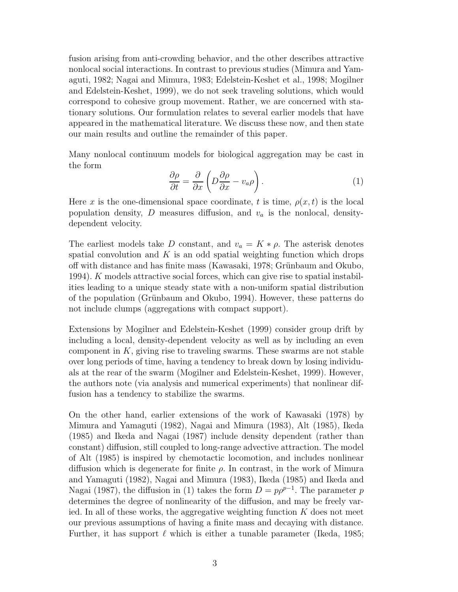fusion arising from anti-crowding behavior, and the other describes attractive nonlocal social interactions. In contrast to previous studies (Mimura and Yamaguti, 1982; Nagai and Mimura, 1983; Edelstein-Keshet et al., 1998; Mogilner and Edelstein-Keshet, 1999), we do not seek traveling solutions, which would correspond to cohesive group movement. Rather, we are concerned with stationary solutions. Our formulation relates to several earlier models that have appeared in the mathematical literature. We discuss these now, and then state our main results and outline the remainder of this paper.

Many nonlocal continuum models for biological aggregation may be cast in the form

$$
\frac{\partial \rho}{\partial t} = \frac{\partial}{\partial x} \left( D \frac{\partial \rho}{\partial x} - v_a \rho \right).
$$
 (1)

Here x is the one-dimensional space coordinate, t is time,  $\rho(x, t)$  is the local population density,  $D$  measures diffusion, and  $v_a$  is the nonlocal, densitydependent velocity.

The earliest models take D constant, and  $v_a = K * \rho$ . The asterisk denotes spatial convolution and  $K$  is an odd spatial weighting function which drops off with distance and has finite mass (Kawasaki, 1978; Grünbaum and Okubo, 1994). K models attractive social forces, which can give rise to spatial instabilities leading to a unique steady state with a non-uniform spatial distribution of the population (Grünbaum and Okubo, 1994). However, these patterns do not include clumps (aggregations with compact support).

Extensions by Mogilner and Edelstein-Keshet (1999) consider group drift by including a local, density-dependent velocity as well as by including an even component in  $K$ , giving rise to traveling swarms. These swarms are not stable over long periods of time, having a tendency to break down by losing individuals at the rear of the swarm (Mogilner and Edelstein-Keshet, 1999). However, the authors note (via analysis and numerical experiments) that nonlinear diffusion has a tendency to stabilize the swarms.

On the other hand, earlier extensions of the work of Kawasaki (1978) by Mimura and Yamaguti (1982), Nagai and Mimura (1983), Alt (1985), Ikeda (1985) and Ikeda and Nagai (1987) include density dependent (rather than constant) diffusion, still coupled to long-range advective attraction. The model of Alt (1985) is inspired by chemotactic locomotion, and includes nonlinear diffusion which is degenerate for finite  $\rho$ . In contrast, in the work of Mimura and Yamaguti (1982), Nagai and Mimura (1983), Ikeda (1985) and Ikeda and Nagai (1987), the diffusion in (1) takes the form  $D = p\rho^{p-1}$ . The parameter p determines the degree of nonlinearity of the diffusion, and may be freely varied. In all of these works, the aggregative weighting function  $K$  does not meet our previous assumptions of having a finite mass and decaying with distance. Further, it has support  $\ell$  which is either a tunable parameter (Ikeda, 1985;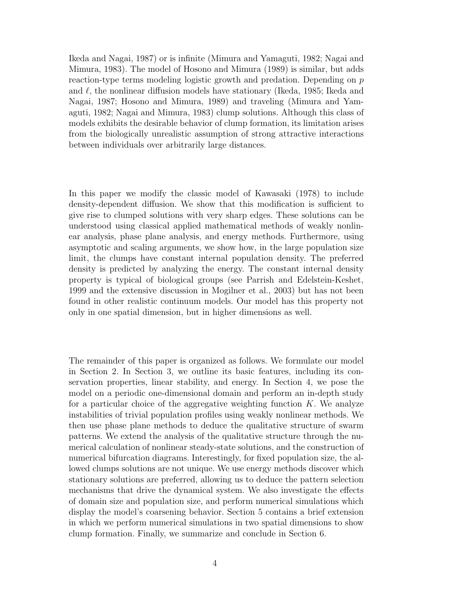Ikeda and Nagai, 1987) or is infinite (Mimura and Yamaguti, 1982; Nagai and Mimura, 1983). The model of Hosono and Mimura (1989) is similar, but adds reaction-type terms modeling logistic growth and predation. Depending on  $p$ and  $\ell$ , the nonlinear diffusion models have stationary (Ikeda, 1985; Ikeda and Nagai, 1987; Hosono and Mimura, 1989) and traveling (Mimura and Yamaguti, 1982; Nagai and Mimura, 1983) clump solutions. Although this class of models exhibits the desirable behavior of clump formation, its limitation arises from the biologically unrealistic assumption of strong attractive interactions between individuals over arbitrarily large distances.

In this paper we modify the classic model of Kawasaki (1978) to include density-dependent diffusion. We show that this modification is sufficient to give rise to clumped solutions with very sharp edges. These solutions can be understood using classical applied mathematical methods of weakly nonlinear analysis, phase plane analysis, and energy methods. Furthermore, using asymptotic and scaling arguments, we show how, in the large population size limit, the clumps have constant internal population density. The preferred density is predicted by analyzing the energy. The constant internal density property is typical of biological groups (see Parrish and Edelstein-Keshet, 1999 and the extensive discussion in Mogilner et al., 2003) but has not been found in other realistic continuum models. Our model has this property not only in one spatial dimension, but in higher dimensions as well.

The remainder of this paper is organized as follows. We formulate our model in Section 2. In Section 3, we outline its basic features, including its conservation properties, linear stability, and energy. In Section 4, we pose the model on a periodic one-dimensional domain and perform an in-depth study for a particular choice of the aggregative weighting function  $K$ . We analyze instabilities of trivial population profiles using weakly nonlinear methods. We then use phase plane methods to deduce the qualitative structure of swarm patterns. We extend the analysis of the qualitative structure through the numerical calculation of nonlinear steady-state solutions, and the construction of numerical bifurcation diagrams. Interestingly, for fixed population size, the allowed clumps solutions are not unique. We use energy methods discover which stationary solutions are preferred, allowing us to deduce the pattern selection mechanisms that drive the dynamical system. We also investigate the effects of domain size and population size, and perform numerical simulations which display the model's coarsening behavior. Section 5 contains a brief extension in which we perform numerical simulations in two spatial dimensions to show clump formation. Finally, we summarize and conclude in Section 6.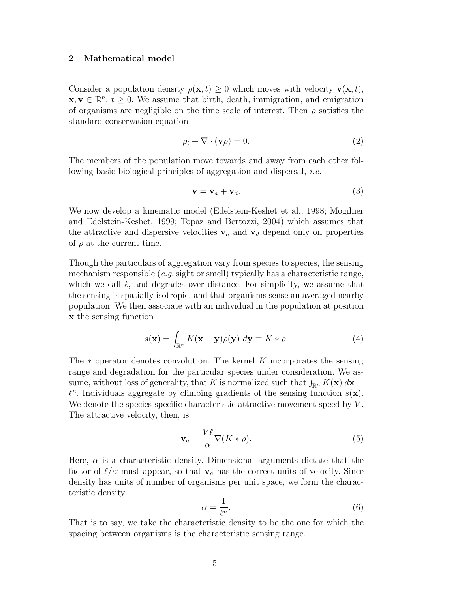#### 2 Mathematical model

Consider a population density  $\rho(\mathbf{x}, t) \geq 0$  which moves with velocity  $\mathbf{v}(\mathbf{x}, t)$ ,  $\mathbf{x}, \mathbf{v} \in \mathbb{R}^n$ ,  $t \geq 0$ . We assume that birth, death, immigration, and emigration of organisms are negligible on the time scale of interest. Then  $\rho$  satisfies the standard conservation equation

$$
\rho_t + \nabla \cdot (\mathbf{v}\rho) = 0. \tag{2}
$$

The members of the population move towards and away from each other following basic biological principles of aggregation and dispersal, i.e.

$$
\mathbf{v} = \mathbf{v}_a + \mathbf{v}_d. \tag{3}
$$

We now develop a kinematic model (Edelstein-Keshet et al., 1998; Mogilner and Edelstein-Keshet, 1999; Topaz and Bertozzi, 2004) which assumes that the attractive and dispersive velocities  $v_a$  and  $v_d$  depend only on properties of  $\rho$  at the current time.

Though the particulars of aggregation vary from species to species, the sensing mechanism responsible (e.g. sight or smell) typically has a characteristic range, which we call  $\ell$ , and degrades over distance. For simplicity, we assume that the sensing is spatially isotropic, and that organisms sense an averaged nearby population. We then associate with an individual in the population at position x the sensing function

$$
s(\mathbf{x}) = \int_{\mathbb{R}^n} K(\mathbf{x} - \mathbf{y}) \rho(\mathbf{y}) \, d\mathbf{y} \equiv K * \rho.
$$
 (4)

The  $*$  operator denotes convolution. The kernel K incorporates the sensing range and degradation for the particular species under consideration. We assume, without loss of generality, that K is normalized such that  $\int_{\mathbb{R}^n} K(\mathbf{x}) d\mathbf{x} =$  $\ell^n$ . Individuals aggregate by climbing gradients of the sensing function  $s(\mathbf{x})$ . We denote the species-specific characteristic attractive movement speed by  $V$ . The attractive velocity, then, is

$$
\mathbf{v}_a = \frac{V\ell}{\alpha} \nabla (K * \rho). \tag{5}
$$

Here,  $\alpha$  is a characteristic density. Dimensional arguments dictate that the factor of  $\ell/\alpha$  must appear, so that  $v_a$  has the correct units of velocity. Since density has units of number of organisms per unit space, we form the characteristic density

$$
\alpha = \frac{1}{\ell^n}.\tag{6}
$$

That is to say, we take the characteristic density to be the one for which the spacing between organisms is the characteristic sensing range.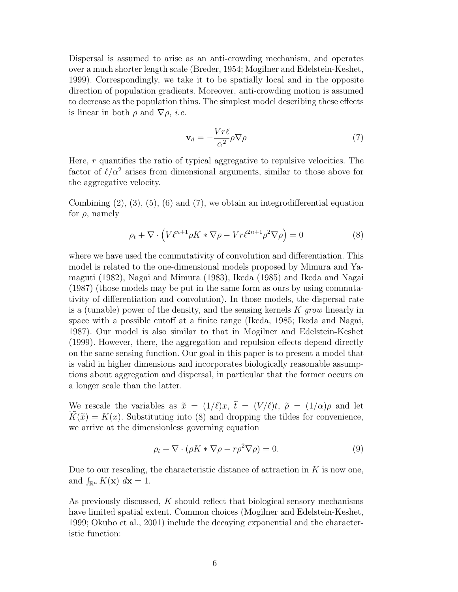Dispersal is assumed to arise as an anti-crowding mechanism, and operates over a much shorter length scale (Breder, 1954; Mogilner and Edelstein-Keshet, 1999). Correspondingly, we take it to be spatially local and in the opposite direction of population gradients. Moreover, anti-crowding motion is assumed to decrease as the population thins. The simplest model describing these effects is linear in both  $\rho$  and  $\nabla \rho$ , *i.e.* 

$$
\mathbf{v}_d = -\frac{Vr\ell}{\alpha^2} \rho \nabla \rho \tag{7}
$$

Here,  $r$  quantifies the ratio of typical aggregative to repulsive velocities. The factor of  $\ell/\alpha^2$  arises from dimensional arguments, similar to those above for the aggregative velocity.

Combining  $(2)$ ,  $(3)$ ,  $(5)$ ,  $(6)$  and  $(7)$ , we obtain an integrodifferential equation for  $\rho$ , namely

$$
\rho_t + \nabla \cdot \left( V \ell^{n+1} \rho K \ast \nabla \rho - V r \ell^{2n+1} \rho^2 \nabla \rho \right) = 0 \tag{8}
$$

where we have used the commutativity of convolution and differentiation. This model is related to the one-dimensional models proposed by Mimura and Yamaguti (1982), Nagai and Mimura (1983), Ikeda (1985) and Ikeda and Nagai (1987) (those models may be put in the same form as ours by using commutativity of differentiation and convolution). In those models, the dispersal rate is a (tunable) power of the density, and the sensing kernels  $K$  grow linearly in space with a possible cutoff at a finite range (Ikeda, 1985; Ikeda and Nagai, 1987). Our model is also similar to that in Mogilner and Edelstein-Keshet (1999). However, there, the aggregation and repulsion effects depend directly on the same sensing function. Our goal in this paper is to present a model that is valid in higher dimensions and incorporates biologically reasonable assumptions about aggregation and dispersal, in particular that the former occurs on a longer scale than the latter.

We rescale the variables as  $\tilde{x} = (1/\ell)x$ ,  $\tilde{t} = (V/\ell)t$ ,  $\tilde{\rho} = (1/\alpha)\rho$  and let  $K(\tilde{x}) = K(x)$ . Substituting into (8) and dropping the tildes for convenience, we arrive at the dimensionless governing equation

$$
\rho_t + \nabla \cdot (\rho K * \nabla \rho - r \rho^2 \nabla \rho) = 0.
$$
\n(9)

Due to our rescaling, the characteristic distance of attraction in  $K$  is now one, and  $\int_{\mathbb{R}^n} K(\mathbf{x}) d\mathbf{x} = 1$ .

As previously discussed, K should reflect that biological sensory mechanisms have limited spatial extent. Common choices (Mogilner and Edelstein-Keshet, 1999; Okubo et al., 2001) include the decaying exponential and the characteristic function: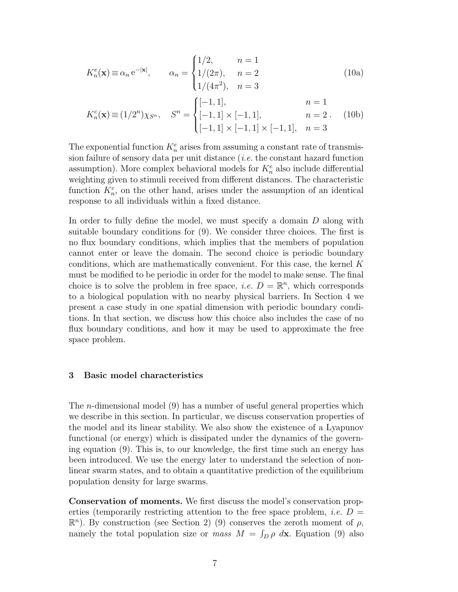$$
K_n^e(\mathbf{x}) \equiv \alpha_n e^{-|\mathbf{x}|}, \qquad \alpha_n = \begin{cases} 1/2, & n = 1 \\ 1/(2\pi), & n = 2 \\ 1/(4\pi^2), & n = 3 \end{cases} \tag{10a}
$$
\n
$$
K_n^e(\mathbf{x}) \equiv (1/2^n) \chi_{S^n}, \qquad S^n = \begin{cases} [-1, 1], & n = 1 \\ [-1, 1] \times [-1, 1], & n = 2 \\ [-1, 1] \times [-1, 1] \times [-1, 1], & n = 3 \end{cases} \tag{10b}
$$

The exponential function  $K_n^e$  arises from assuming a constant rate of transmission failure of sensory data per unit distance  $(i.e.$  the constant hazard function assumption). More complex behavioral models for  $K_n^e$  also include differential weighting given to stimuli received from different distances. The characteristic function  $K_n^c$ , on the other hand, arises under the assumption of an identical response to all individuals within a fixed distance.

In order to fully define the model, we must specify a domain D along with suitable boundary conditions for (9). We consider three choices. The first is no flux boundary conditions, which implies that the members of population cannot enter or leave the domain. The second choice is periodic boundary conditions, which are mathematically convenient. For this case, the kernel K must be modified to be periodic in order for the model to make sense. The final choice is to solve the problem in free space, *i.e.*  $D = \mathbb{R}^n$ , which corresponds to a biological population with no nearby physical barriers. In Section 4 we present a case study in one spatial dimension with periodic boundary conditions. In that section, we discuss how this choice also includes the case of no flux boundary conditions, and how it may be used to approximate the free space problem.

#### 3 Basic model characteristics

The n-dimensional model (9) has a number of useful general properties which we describe in this section. In particular, we discuss conservation properties of the model and its linear stability. We also show the existence of a Lyapunov functional (or energy) which is dissipated under the dynamics of the governing equation (9). This is, to our knowledge, the first time such an energy has been introduced. We use the energy later to understand the selection of nonlinear swarm states, and to obtain a quantitative prediction of the equilibrium population density for large swarms.

Conservation of moments. We first discuss the model's conservation properties (temporarily restricting attention to the free space problem, *i.e.*  $D =$  $\mathbb{R}^n$ ). By construction (see Section 2) (9) conserves the zeroth moment of  $\rho$ , namely the total population size or *mass*  $M = \int_D \rho \, d\mathbf{x}$ . Equation (9) also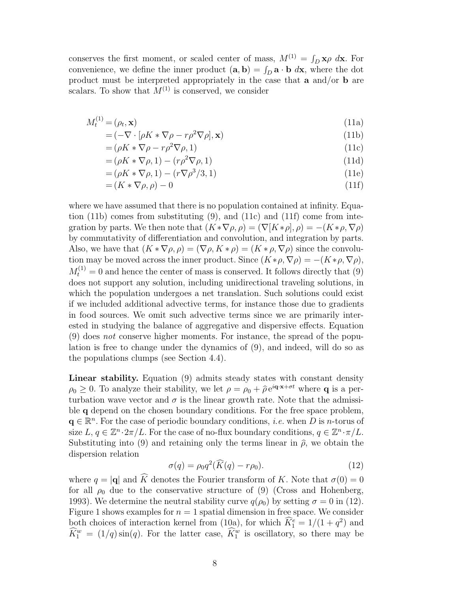conserves the first moment, or scaled center of mass,  $M^{(1)} = \int_D \mathbf{x} \rho \ d\mathbf{x}$ . For convenience, we define the inner product  $(\mathbf{a}, \mathbf{b}) = \int_D \mathbf{a} \cdot \mathbf{b} \, d\mathbf{x}$ , where the dot product must be interpreted appropriately in the case that a and/or b are scalars. To show that  $M^{(1)}$  is conserved, we consider

$$
M_t^{(1)} = (\rho_t, \mathbf{x}) \tag{11a}
$$

$$
= (-\nabla \cdot [\rho K * \nabla \rho - r\rho^2 \nabla \rho], \mathbf{x})
$$
\n(11b)

$$
= (\rho K * \nabla \rho - r\rho^2 \nabla \rho, 1) \tag{11c}
$$

$$
= (\rho K * \nabla \rho, 1) - (r\rho^2 \nabla \rho, 1) \tag{11d}
$$

$$
= (\rho K * \nabla \rho, 1) - (r \nabla \rho^3 / 3, 1) \tag{11e}
$$

$$
= (K \ast \nabla \rho, \rho) - 0 \tag{11f}
$$

where we have assumed that there is no population contained at infinity. Equation (11b) comes from substituting  $(9)$ , and  $(11c)$  and  $(11f)$  come from integration by parts. We then note that  $(K * \nabla \rho, \rho) = (\nabla [K * \rho], \rho) = -(K * \rho, \nabla \rho)$ by commutativity of differentiation and convolution, and integration by parts. Also, we have that  $(K * \nabla \rho, \rho) = (\nabla \rho, K * \rho) = (K * \rho, \nabla \rho)$  since the convolution may be moved across the inner product. Since  $(K * \rho, \nabla \rho) = -(K * \rho, \nabla \rho)$ ,  $M_t^{(1)} = 0$  and hence the center of mass is conserved. It follows directly that (9) does not support any solution, including unidirectional traveling solutions, in which the population undergoes a net translation. Such solutions could exist if we included additional advective terms, for instance those due to gradients in food sources. We omit such advective terms since we are primarily interested in studying the balance of aggregative and dispersive effects. Equation (9) does not conserve higher moments. For instance, the spread of the population is free to change under the dynamics of (9), and indeed, will do so as the populations clumps (see Section 4.4).

Linear stability. Equation (9) admits steady states with constant density  $\rho_0 \geq 0$ . To analyze their stability, we let  $\rho = \rho_0 + \hat{\rho}e^{i\mathbf{q}\cdot\mathbf{x} + \sigma t}$  where **q** is a perturbation wave vector and  $\sigma$  is the linear growth rate. Note that the admissible q depend on the chosen boundary conditions. For the free space problem,  $q \in \mathbb{R}^n$ . For the case of periodic boundary conditions, *i.e.* when D is n-torus of size  $L, q \in \mathbb{Z}^n \cdot 2\pi/L$ . For the case of no-flux boundary conditions,  $q \in \mathbb{Z}^n \cdot \pi/L$ . Substituting into (9) and retaining only the terms linear in  $\hat{\rho}$ , we obtain the dispersion relation

$$
\sigma(q) = \rho_0 q^2 (\widehat{K}(q) - r \rho_0). \tag{12}
$$

where  $q = |\mathbf{q}|$  and  $\widehat{K}$  denotes the Fourier transform of K. Note that  $\sigma(0) = 0$ for all  $\rho_0$  due to the conservative structure of (9) (Cross and Hohenberg, 1993). We determine the neutral stability curve  $q(\rho_0)$  by setting  $\sigma = 0$  in (12). Figure 1 shows examples for  $n = 1$  spatial dimension in free space. We consider both choices of interaction kernel from (10a), for which  $\widehat{K}_1^e = 1/(1+q^2)$  and  $\widehat{K}_1^w = (1/q)\sin(q)$ . For the latter case,  $\widehat{K}_1^w$  is oscillatory, so there may be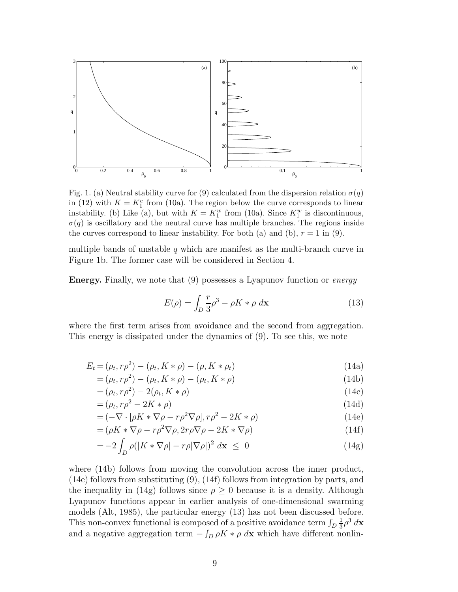

Fig. 1. (a) Neutral stability curve for (9) calculated from the dispersion relation  $\sigma(q)$ in (12) with  $K = K_1^e$  from (10a). The region below the curve corresponds to linear instability. (b) Like (a), but with  $K = K_1^w$  from (10a). Since  $K_1^w$  is discontinuous,  $\sigma(q)$  is oscillatory and the neutral curve has multiple branches. The regions inside the curves correspond to linear instability. For both (a) and (b),  $r = 1$  in (9).

multiple bands of unstable q which are manifest as the multi-branch curve in Figure 1b. The former case will be considered in Section 4.

Energy. Finally, we note that (9) possesses a Lyapunov function or energy

$$
E(\rho) = \int_{D} \frac{r}{3} \rho^3 - \rho K \ast \rho \ d\mathbf{x}
$$
 (13)

where the first term arises from avoidance and the second from aggregation. This energy is dissipated under the dynamics of (9). To see this, we note

$$
E_t = (\rho_t, r\rho^2) - (\rho_t, K * \rho) - (\rho, K * \rho_t)
$$
\n(14a)

$$
= (\rho_t, r\rho^2) - (\rho_t, K * \rho) - (\rho_t, K * \rho)
$$
\n(14b)

$$
= (\rho_t, r\rho^2) - 2(\rho_t, K * \rho) \tag{14c}
$$

$$
= (\rho_t, r\rho^2 - 2K * \rho) \tag{14d}
$$

$$
= (-\nabla \cdot [\rho K \ast \nabla \rho - r\rho^2 \nabla \rho], r\rho^2 - 2K \ast \rho)
$$
\n(14e)

$$
= (\rho K \ast \nabla \rho - r \rho^2 \nabla \rho, 2r \rho \nabla \rho - 2K \ast \nabla \rho)
$$
\n(14f)

$$
= -2 \int_D \rho (|K \ast \nabla \rho| - r\rho |\nabla \rho|)^2 \, d\mathbf{x} \le 0 \tag{14g}
$$

where  $(14b)$  follows from moving the convolution across the inner product, (14e) follows from substituting (9), (14f) follows from integration by parts, and the inequality in (14g) follows since  $\rho \geq 0$  because it is a density. Although Lyapunov functions appear in earlier analysis of one-dimensional swarming models (Alt, 1985), the particular energy (13) has not been discussed before. This non-convex functional is composed of a positive avoidance term  $\int_D \frac{1}{3}$  $\frac{1}{3}$  $\rho^3 d\mathbf{x}$ and a negative aggregation term  $-\int_D \rho K * \rho \ d\mathbf{x}$  which have different nonlin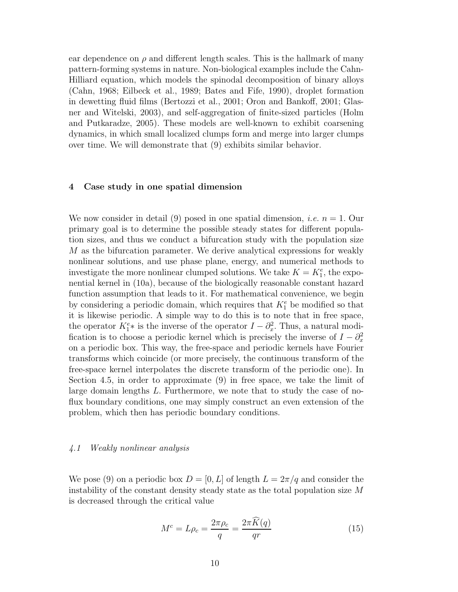ear dependence on  $\rho$  and different length scales. This is the hallmark of many pattern-forming systems in nature. Non-biological examples include the Cahn-Hilliard equation, which models the spinodal decomposition of binary alloys (Cahn, 1968; Eilbeck et al., 1989; Bates and Fife, 1990), droplet formation in dewetting fluid films (Bertozzi et al., 2001; Oron and Bankoff, 2001; Glasner and Witelski, 2003), and self-aggregation of finite-sized particles (Holm and Putkaradze, 2005). These models are well-known to exhibit coarsening dynamics, in which small localized clumps form and merge into larger clumps over time. We will demonstrate that (9) exhibits similar behavior.

#### 4 Case study in one spatial dimension

We now consider in detail (9) posed in one spatial dimension, *i.e.*  $n = 1$ . Our primary goal is to determine the possible steady states for different population sizes, and thus we conduct a bifurcation study with the population size M as the bifurcation parameter. We derive analytical expressions for weakly nonlinear solutions, and use phase plane, energy, and numerical methods to investigate the more nonlinear clumped solutions. We take  $K = K_1^e$ , the exponential kernel in (10a), because of the biologically reasonable constant hazard function assumption that leads to it. For mathematical convenience, we begin by considering a periodic domain, which requires that  $K_1^e$  be modified so that it is likewise periodic. A simple way to do this is to note that in free space, the operator  $K_1^e*$  is the inverse of the operator  $I - \partial_x^2$ . Thus, a natural modification is to choose a periodic kernel which is precisely the inverse of  $I - \partial_x^2$ on a periodic box. This way, the free-space and periodic kernels have Fourier transforms which coincide (or more precisely, the continuous transform of the free-space kernel interpolates the discrete transform of the periodic one). In Section 4.5, in order to approximate (9) in free space, we take the limit of large domain lengths L. Furthermore, we note that to study the case of noflux boundary conditions, one may simply construct an even extension of the problem, which then has periodic boundary conditions.

#### 4.1 Weakly nonlinear analysis

We pose (9) on a periodic box  $D = [0, L]$  of length  $L = 2\pi/q$  and consider the instability of the constant density steady state as the total population size  $M$ is decreased through the critical value

$$
M^c = L\rho_c = \frac{2\pi\rho_c}{q} = \frac{2\pi K(q)}{qr}
$$
\n(15)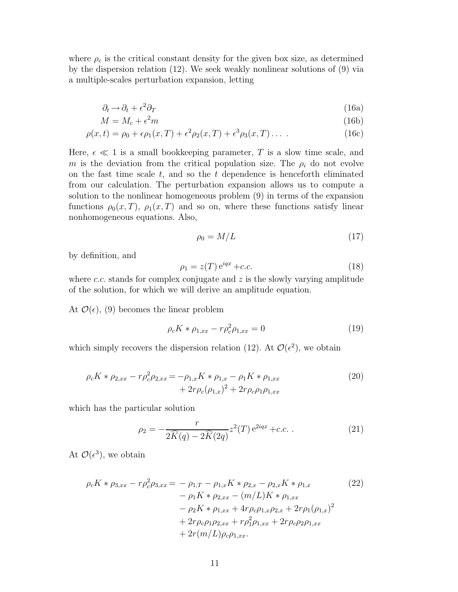where  $\rho_c$  is the critical constant density for the given box size, as determined by the dispersion relation (12). We seek weakly nonlinear solutions of (9) via a multiple-scales perturbation expansion, letting

$$
\partial_t \to \partial_t + \epsilon^2 \partial_T \tag{16a}
$$

$$
M = M_c + \epsilon^2 m \tag{16b}
$$

$$
\rho(x,t) = \rho_0 + \epsilon \rho_1(x,T) + \epsilon^2 \rho_2(x,T) + \epsilon^3 \rho_3(x,T) \dots \tag{16c}
$$

Here,  $\epsilon \ll 1$  is a small bookkeeping parameter, T is a slow time scale, and m is the deviation from the critical population size. The  $\rho_i$  do not evolve on the fast time scale  $t$ , and so the  $t$  dependence is henceforth eliminated from our calculation. The perturbation expansion allows us to compute a solution to the nonlinear homogeneous problem (9) in terms of the expansion functions  $\rho_0(x,T)$ ,  $\rho_1(x,T)$  and so on, where these functions satisfy linear nonhomogeneous equations. Also,

$$
\rho_0 = M/L \tag{17}
$$

by definition, and

$$
\rho_1 = z(T) e^{iqx} + c.c.
$$
\n(18)

where  $c.c.$  stands for complex conjugate and  $z$  is the slowly varying amplitude of the solution, for which we will derive an amplitude equation.

At  $\mathcal{O}(\epsilon)$ , (9) becomes the linear problem

$$
\rho_c K * \rho_{1,xx} - r \rho_c^2 \rho_{1,xx} = 0 \tag{19}
$$

which simply recovers the dispersion relation (12). At  $\mathcal{O}(\epsilon^2)$ , we obtain

$$
\rho_c K * \rho_{2,xx} - r \rho_c^2 \rho_{2,xx} = -\rho_{1,x} K * \rho_{1,x} - \rho_1 K * \rho_{1,xx} + 2r \rho_c (\rho_{1,x})^2 + 2r \rho_c \rho_1 \rho_{1,xx}
$$
\n(20)

which has the particular solution

$$
\rho_2 = -\frac{r}{2\widehat{K}(q) - 2\widehat{K}(2q)} z^2(T) e^{2iqx} + c.c.
$$
 (21)

At  $\mathcal{O}(\epsilon^3)$ , we obtain

$$
\rho_c K * \rho_{3,xx} - r \rho_c^2 \rho_{3,xx} = -\rho_{1,T} - \rho_{1,x} K * \rho_{2,x} - \rho_{2,x} K * \rho_{1,x}
$$
\n
$$
- \rho_1 K * \rho_{2,xx} - (m/L) K * \rho_{1,xx}
$$
\n
$$
- \rho_2 K * \rho_{1,xx} + 4r \rho_c \rho_{1,x} \rho_{2,x} + 2r \rho_1 (\rho_{1,x})^2
$$
\n
$$
+ 2r \rho_c \rho_1 \rho_{2,xx} + r \rho_1^2 \rho_{1,xx} + 2r \rho_c \rho_2 \rho_{1,xx}
$$
\n
$$
+ 2r (m/L) \rho_c \rho_{1,xx}.
$$
\n(22)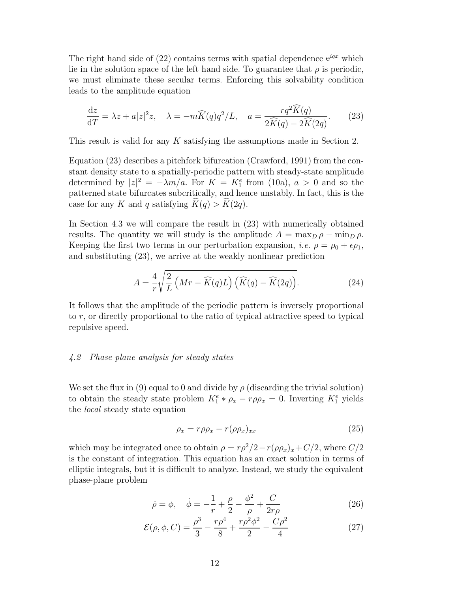The right hand side of  $(22)$  contains terms with spatial dependence  $e^{iqx}$  which lie in the solution space of the left hand side. To guarantee that  $\rho$  is periodic, we must eliminate these secular terms. Enforcing this solvability condition leads to the amplitude equation

$$
\frac{\mathrm{d}z}{\mathrm{d}T} = \lambda z + a|z|^2 z, \quad \lambda = -m\widehat{K}(q)q^2/L, \quad a = \frac{rq^2\widehat{K}(q)}{2\widehat{K}(q) - 2\widehat{K}(2q)}.\tag{23}
$$

This result is valid for any K satisfying the assumptions made in Section 2.

Equation (23) describes a pitchfork bifurcation (Crawford, 1991) from the constant density state to a spatially-periodic pattern with steady-state amplitude determined by  $|z|^2 = -\lambda m/a$ . For  $K = K_1^e$  from (10a),  $a > 0$  and so the patterned state bifurcates subcritically, and hence unstably. In fact, this is the case for any K and q satisfying  $K(q) > K(2q)$ .

In Section 4.3 we will compare the result in (23) with numerically obtained results. The quantity we will study is the amplitude  $A = \max_{D} \rho - \min_{D} \rho$ . Keeping the first two terms in our perturbation expansion, *i.e.*  $\rho = \rho_0 + \epsilon \rho_1$ , and substituting (23), we arrive at the weakly nonlinear prediction

$$
A = \frac{4}{r} \sqrt{\frac{2}{L} \left( Mr - \widehat{K}(q)L \right) \left( \widehat{K}(q) - \widehat{K}(2q) \right)}.
$$
 (24)

It follows that the amplitude of the periodic pattern is inversely proportional to r, or directly proportional to the ratio of typical attractive speed to typical repulsive speed.

#### 4.2 Phase plane analysis for steady states

We set the flux in (9) equal to 0 and divide by  $\rho$  (discarding the trivial solution) to obtain the steady state problem  $K_1^e * \rho_x - r\rho \rho_x = 0$ . Inverting  $K_1^e$  yields the local steady state equation

$$
\rho_x = r \rho \rho_x - r (\rho \rho_x)_{xx} \tag{25}
$$

which may be integrated once to obtain  $\rho = r\rho^2/2 - r(\rho \rho_x)_x + C/2$ , where  $C/2$ is the constant of integration. This equation has an exact solution in terms of elliptic integrals, but it is difficult to analyze. Instead, we study the equivalent phase-plane problem

$$
\dot{\rho} = \phi, \quad \dot{\phi} = -\frac{1}{r} + \frac{\rho}{2} - \frac{\phi^2}{\rho} + \frac{C}{2r\rho}
$$
(26)

$$
\mathcal{E}(\rho, \phi, C) = \frac{\rho^3}{3} - \frac{r\rho^4}{8} + \frac{r\rho^2\phi^2}{2} - \frac{C\rho^2}{4}
$$
 (27)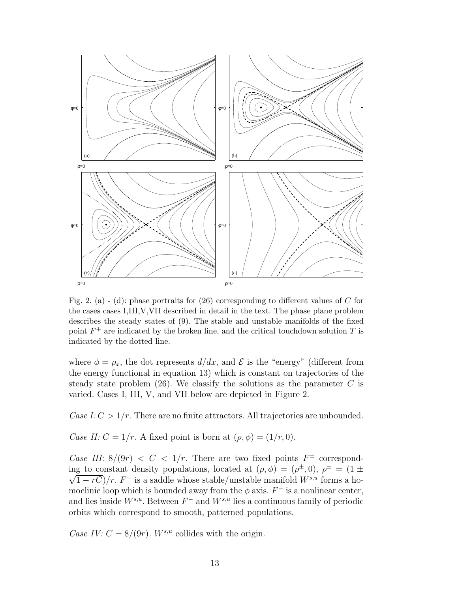

Fig. 2. (a) - (d): phase portraits for  $(26)$  corresponding to different values of C for the cases cases I,III,V,VII described in detail in the text. The phase plane problem describes the steady states of (9). The stable and unstable manifolds of the fixed point  $F^+$  are indicated by the broken line, and the critical touchdown solution T is indicated by the dotted line.

where  $\phi = \rho_x$ , the dot represents  $d/dx$ , and  $\mathcal E$  is the "energy" (different from the energy functional in equation 13) which is constant on trajectories of the steady state problem  $(26)$ . We classify the solutions as the parameter C is varied. Cases I, III, V, and VII below are depicted in Figure 2.

Case I:  $C > 1/r$ . There are no finite attractors. All trajectories are unbounded.

Case II:  $C = 1/r$ . A fixed point is born at  $(\rho, \phi) = (1/r, 0)$ .

Case III:  $8/(9r) < C < 1/r$ . There are two fixed points  $F^{\pm}$  corresponding to constant density populations, located at  $(\rho, \phi) = (\rho^{\pm}, 0), \rho^{\pm} = (1 \pm \rho)$  $\sqrt{1-rC}$ /r.  $F^+$  is a saddle whose stable/unstable manifold  $W^{s,u}$  forms a homoclinic loop which is bounded away from the  $\phi$  axis.  $F^-$  is a nonlinear center, and lies inside  $W^{s,u}$ . Between  $F^-$  and  $W^{s,u}$  lies a continuous family of periodic orbits which correspond to smooth, patterned populations.

Case IV:  $C = 8/(9r)$ .  $W^{s,u}$  collides with the origin.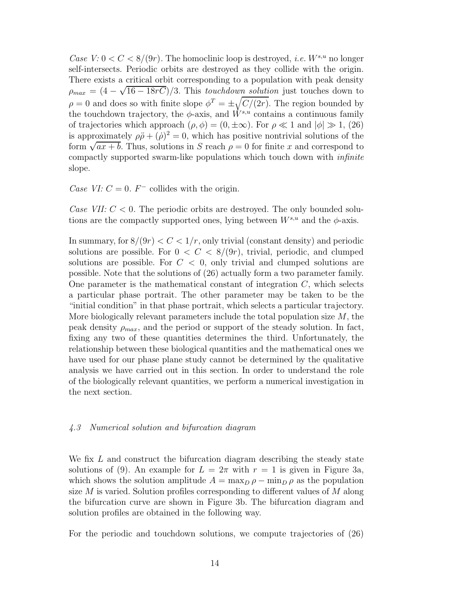Case  $V: 0 < C < 8/(9r)$ . The homoclinic loop is destroyed, *i.e.*  $W^{s,u}$  no longer self-intersects. Periodic orbits are destroyed as they collide with the origin. There exists a critical orbit corresponding to a population with peak density  $\rho_{max} = (4 - \sqrt{16 - 18rC})/3$ . This *touchdown solution* just touches down to  $\rho = 0$  and does so with finite slope  $\phi^T = \pm \sqrt{C/(2r)}$ . The region bounded by the touchdown trajectory, the  $\phi$ -axis, and  $\dot{W}^{s,u}$  contains a continuous family of trajectories which approach  $(\rho, \phi) = (0, \pm \infty)$ . For  $\rho \ll 1$  and  $|\phi| \gg 1$ , (26) is approximately  $\rho \ddot{\rho} + (\dot{\rho})^2 = 0$ , which has positive nontrivial solutions of the form  $\sqrt{ax + b}$ . Thus, solutions in S reach  $\rho = 0$  for finite x and correspond to compactly supported swarm-like populations which touch down with infinite slope.

Case VI:  $C = 0$ .  $F^-$  collides with the origin.

Case VII:  $C < 0$ . The periodic orbits are destroyed. The only bounded solutions are the compactly supported ones, lying between  $W^{s,u}$  and the  $\phi$ -axis.

In summary, for  $8/(9r) < C < 1/r$ , only trivial (constant density) and periodic solutions are possible. For  $0 < C < 8/(9r)$ , trivial, periodic, and clumped solutions are possible. For  $C < 0$ , only trivial and clumped solutions are possible. Note that the solutions of (26) actually form a two parameter family. One parameter is the mathematical constant of integration  $C$ , which selects a particular phase portrait. The other parameter may be taken to be the "initial condition" in that phase portrait, which selects a particular trajectory. More biologically relevant parameters include the total population size  $M$ , the peak density  $\rho_{max}$ , and the period or support of the steady solution. In fact, fixing any two of these quantities determines the third. Unfortunately, the relationship between these biological quantities and the mathematical ones we have used for our phase plane study cannot be determined by the qualitative analysis we have carried out in this section. In order to understand the role of the biologically relevant quantities, we perform a numerical investigation in the next section.

#### 4.3 Numerical solution and bifurcation diagram

We fix L and construct the bifurcation diagram describing the steady state solutions of (9). An example for  $L = 2\pi$  with  $r = 1$  is given in Figure 3a, which shows the solution amplitude  $A = \max_D \rho - \min_D \rho$  as the population size  $M$  is varied. Solution profiles corresponding to different values of  $M$  along the bifurcation curve are shown in Figure 3b. The bifurcation diagram and solution profiles are obtained in the following way.

For the periodic and touchdown solutions, we compute trajectories of (26)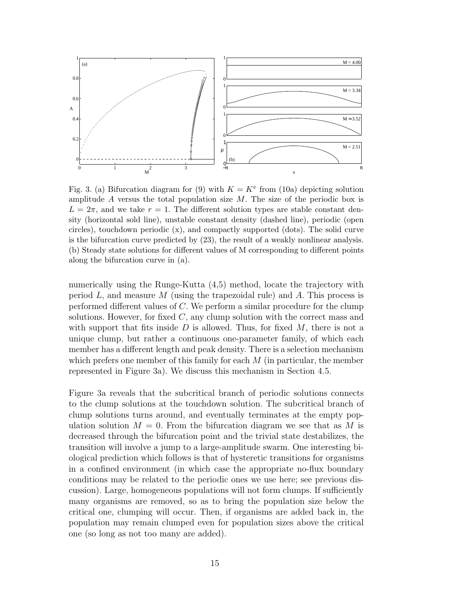

Fig. 3. (a) Bifurcation diagram for (9) with  $K = K<sup>e</sup>$  from (10a) depicting solution amplitude A versus the total population size  $M$ . The size of the periodic box is  $L = 2\pi$ , and we take  $r = 1$ . The different solution types are stable constant density (horizontal sold line), unstable constant density (dashed line), periodic (open circles), touchdown periodic (x), and compactly supported (dots). The solid curve is the bifurcation curve predicted by (23), the result of a weakly nonlinear analysis. (b) Steady state solutions for different values of M corresponding to different points along the bifurcation curve in (a).

numerically using the Runge-Kutta (4,5) method, locate the trajectory with period  $L$ , and measure  $M$  (using the trapezoidal rule) and  $A$ . This process is performed different values of C. We perform a similar procedure for the clump solutions. However, for fixed  $C$ , any clump solution with the correct mass and with support that fits inside  $D$  is allowed. Thus, for fixed  $M$ , there is not a unique clump, but rather a continuous one-parameter family, of which each member has a different length and peak density. There is a selection mechanism which prefers one member of this family for each  $M$  (in particular, the member represented in Figure 3a). We discuss this mechanism in Section 4.5.

Figure 3a reveals that the subcritical branch of periodic solutions connects to the clump solutions at the touchdown solution. The subcritical branch of clump solutions turns around, and eventually terminates at the empty population solution  $M = 0$ . From the bifurcation diagram we see that as M is decreased through the bifurcation point and the trivial state destabilizes, the transition will involve a jump to a large-amplitude swarm. One interesting biological prediction which follows is that of hysteretic transitions for organisms in a confined environment (in which case the appropriate no-flux boundary conditions may be related to the periodic ones we use here; see previous discussion). Large, homogeneous populations will not form clumps. If sufficiently many organisms are removed, so as to bring the population size below the critical one, clumping will occur. Then, if organisms are added back in, the population may remain clumped even for population sizes above the critical one (so long as not too many are added).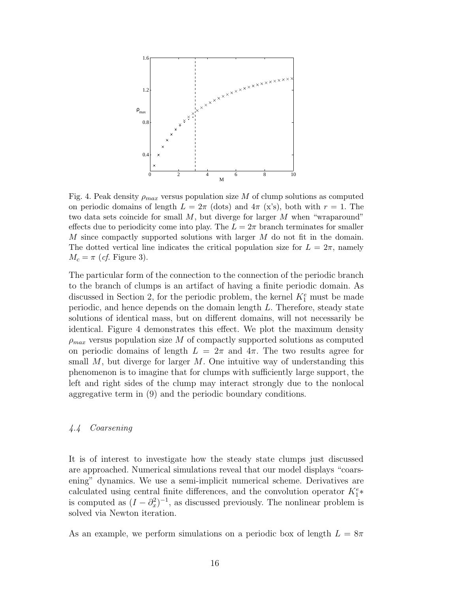

Fig. 4. Peak density  $\rho_{max}$  versus population size M of clump solutions as computed on periodic domains of length  $L = 2\pi$  (dots) and  $4\pi$  (x's), both with  $r = 1$ . The two data sets coincide for small  $M$ , but diverge for larger  $M$  when "wraparound" effects due to periodicity come into play. The  $L = 2\pi$  branch terminates for smaller M since compactly supported solutions with larger M do not fit in the domain. The dotted vertical line indicates the critical population size for  $L = 2\pi$ , namely  $M_c = \pi$  (*cf.* Figure 3).

The particular form of the connection to the connection of the periodic branch to the branch of clumps is an artifact of having a finite periodic domain. As discussed in Section 2, for the periodic problem, the kernel  $K_1^e$  must be made periodic, and hence depends on the domain length L. Therefore, steady state solutions of identical mass, but on different domains, will not necessarily be identical. Figure 4 demonstrates this effect. We plot the maximum density  $\rho_{max}$  versus population size M of compactly supported solutions as computed on periodic domains of length  $L = 2\pi$  and  $4\pi$ . The two results agree for small  $M$ , but diverge for larger  $M$ . One intuitive way of understanding this phenomenon is to imagine that for clumps with sufficiently large support, the left and right sides of the clump may interact strongly due to the nonlocal aggregative term in (9) and the periodic boundary conditions.

#### 4.4 Coarsening

It is of interest to investigate how the steady state clumps just discussed are approached. Numerical simulations reveal that our model displays "coarsening" dynamics. We use a semi-implicit numerical scheme. Derivatives are calculated using central finite differences, and the convolution operator  $K_1^e*$ is computed as  $(I - \partial_x^2)^{-1}$ , as discussed previously. The nonlinear problem is solved via Newton iteration.

As an example, we perform simulations on a periodic box of length  $L = 8\pi$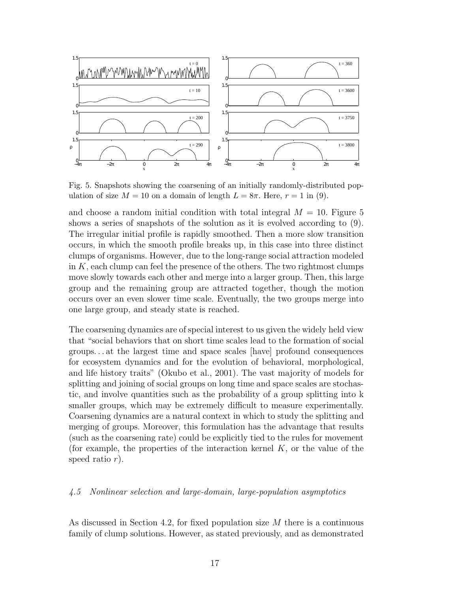

Fig. 5. Snapshots showing the coarsening of an initially randomly-distributed population of size  $M = 10$  on a domain of length  $L = 8\pi$ . Here,  $r = 1$  in (9).

and choose a random initial condition with total integral  $M = 10$ . Figure 5 shows a series of snapshots of the solution as it is evolved according to (9). The irregular initial profile is rapidly smoothed. Then a more slow transition occurs, in which the smooth profile breaks up, in this case into three distinct clumps of organisms. However, due to the long-range social attraction modeled in  $K$ , each clump can feel the presence of the others. The two rightmost clumps move slowly towards each other and merge into a larger group. Then, this large group and the remaining group are attracted together, though the motion occurs over an even slower time scale. Eventually, the two groups merge into one large group, and steady state is reached.

The coarsening dynamics are of special interest to us given the widely held view that "social behaviors that on short time scales lead to the formation of social groups. . . at the largest time and space scales [have] profound consequences for ecosystem dynamics and for the evolution of behavioral, morphological, and life history traits" (Okubo et al., 2001). The vast majority of models for splitting and joining of social groups on long time and space scales are stochastic, and involve quantities such as the probability of a group splitting into k smaller groups, which may be extremely difficult to measure experimentally. Coarsening dynamics are a natural context in which to study the splitting and merging of groups. Moreover, this formulation has the advantage that results (such as the coarsening rate) could be explicitly tied to the rules for movement (for example, the properties of the interaction kernel  $K$ , or the value of the speed ratio r).

#### 4.5 Nonlinear selection and large-domain, large-population asymptotics

As discussed in Section 4.2, for fixed population size  $M$  there is a continuous family of clump solutions. However, as stated previously, and as demonstrated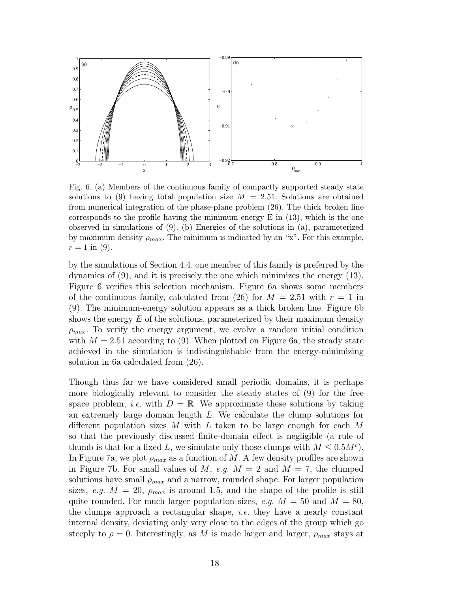

Fig. 6. (a) Members of the continuous family of compactly supported steady state solutions to (9) having total population size  $M = 2.51$ . Solutions are obtained from numerical integration of the phase-plane problem (26). The thick broken line corresponds to the profile having the minimum energy  $E$  in  $(13)$ , which is the one observed in simulations of (9). (b) Energies of the solutions in (a), parameterized by maximum density  $\rho_{max}$ . The minimum is indicated by an "x". For this example,  $r = 1$  in (9).

by the simulations of Section 4.4, one member of this family is preferred by the dynamics of (9), and it is precisely the one which minimizes the energy (13). Figure 6 verifies this selection mechanism. Figure 6a shows some members of the continuous family, calculated from (26) for  $M = 2.51$  with  $r = 1$  in (9). The minimum-energy solution appears as a thick broken line. Figure 6b shows the energy  $E$  of the solutions, parameterized by their maximum density  $\rho_{max}$ . To verify the energy argument, we evolve a random initial condition with  $M = 2.51$  according to (9). When plotted on Figure 6a, the steady state achieved in the simulation is indistinguishable from the energy-minimizing solution in 6a calculated from (26).

Though thus far we have considered small periodic domains, it is perhaps more biologically relevant to consider the steady states of (9) for the free space problem, *i.e.* with  $D = \mathbb{R}$ . We approximate these solutions by taking an extremely large domain length L. We calculate the clump solutions for different population sizes M with L taken to be large enough for each  $M$ so that the previously discussed finite-domain effect is negligible (a rule of thumb is that for a fixed L, we simulate only those clumps with  $M \leq 0.5M^c$ . In Figure 7a, we plot  $\rho_{max}$  as a function of M. A few density profiles are shown in Figure 7b. For small values of M, e.g.  $M = 2$  and  $M = 7$ , the clumped solutions have small  $\rho_{max}$  and a narrow, rounded shape. For larger population sizes, e.g.  $M = 20$ ,  $\rho_{max}$  is around 1.5, and the shape of the profile is still quite rounded. For much larger population sizes, e.g.  $M = 50$  and  $M = 80$ , the clumps approach a rectangular shape, *i.e.* they have a nearly constant internal density, deviating only very close to the edges of the group which go steeply to  $\rho = 0$ . Interestingly, as M is made larger and larger,  $\rho_{max}$  stays at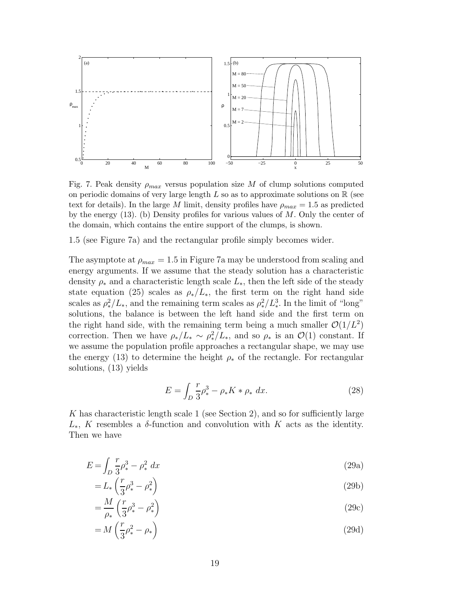

Fig. 7. Peak density  $\rho_{max}$  versus population size M of clump solutions computed on periodic domains of very large length  $L$  so as to approximate solutions on  $\mathbb R$  (see text for details). In the large M limit, density profiles have  $\rho_{max} = 1.5$  as predicted by the energy  $(13)$ . (b) Density profiles for various values of M. Only the center of the domain, which contains the entire support of the clumps, is shown.

1.5 (see Figure 7a) and the rectangular profile simply becomes wider.

The asymptote at  $\rho_{max} = 1.5$  in Figure 7a may be understood from scaling and energy arguments. If we assume that the steady solution has a characteristic density  $\rho_*$  and a characteristic length scale  $L_*$ , then the left side of the steady state equation (25) scales as  $\rho_*/L_*$ , the first term on the right hand side scales as  $\rho_*^2/L_*$ , and the remaining term scales as  $\rho_*^2/L_*^3$ . In the limit of "long" solutions, the balance is between the left hand side and the first term on the right hand side, with the remaining term being a much smaller  $\mathcal{O}(1/L^2)$ correction. Then we have  $\rho_*/L_* \sim \rho_*^2/L_*$ , and so  $\rho_*$  is an  $\mathcal{O}(1)$  constant. If we assume the population profile approaches a rectangular shape, we may use the energy (13) to determine the height  $\rho_*$  of the rectangle. For rectangular solutions, (13) yields

$$
E = \int_{D} \frac{r}{3} \rho_*^3 - \rho_* K * \rho_* dx.
$$
 (28)

K has characteristic length scale 1 (see Section 2), and so for sufficiently large L<sup>\*</sup>, K resembles a δ-function and convolution with K acts as the identity. Then we have

$$
E = \int_{D} \frac{r}{3} \rho_*^3 - \rho_*^2 \ dx \tag{29a}
$$

$$
=L_*\left(\frac{r}{3}\rho_*^3-\rho_*^2\right) \tag{29b}
$$

$$
=\frac{M}{\rho_*}\left(\frac{r}{3}\rho_*^3-\rho_*^2\right) \tag{29c}
$$

$$
=M\left(\frac{r}{3}\rho_*^2-\rho_*\right) \tag{29d}
$$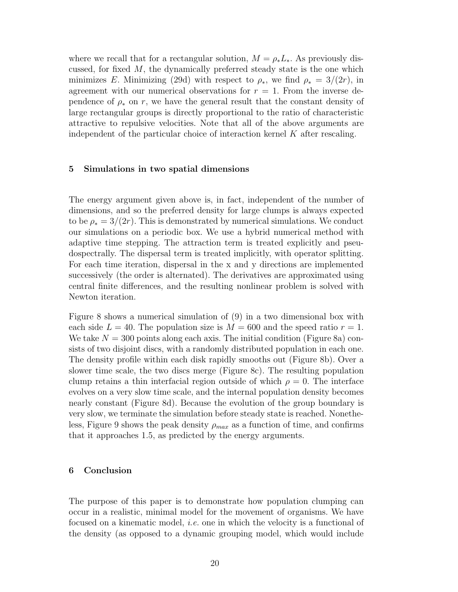where we recall that for a rectangular solution,  $M = \rho_* L_*$ . As previously discussed, for fixed M, the dynamically preferred steady state is the one which minimizes E. Minimizing (29d) with respect to  $\rho_*$ , we find  $\rho_* = 3/(2r)$ , in agreement with our numerical observations for  $r = 1$ . From the inverse dependence of  $\rho_*$  on r, we have the general result that the constant density of large rectangular groups is directly proportional to the ratio of characteristic attractive to repulsive velocities. Note that all of the above arguments are independent of the particular choice of interaction kernel  $K$  after rescaling.

#### 5 Simulations in two spatial dimensions

The energy argument given above is, in fact, independent of the number of dimensions, and so the preferred density for large clumps is always expected to be  $\rho_* = 3/(2r)$ . This is demonstrated by numerical simulations. We conduct our simulations on a periodic box. We use a hybrid numerical method with adaptive time stepping. The attraction term is treated explicitly and pseudospectrally. The dispersal term is treated implicitly, with operator splitting. For each time iteration, dispersal in the x and y directions are implemented successively (the order is alternated). The derivatives are approximated using central finite differences, and the resulting nonlinear problem is solved with Newton iteration.

Figure 8 shows a numerical simulation of (9) in a two dimensional box with each side  $L = 40$ . The population size is  $M = 600$  and the speed ratio  $r = 1$ . We take  $N = 300$  points along each axis. The initial condition (Figure 8a) consists of two disjoint discs, with a randomly distributed population in each one. The density profile within each disk rapidly smooths out (Figure 8b). Over a slower time scale, the two discs merge (Figure 8c). The resulting population clump retains a thin interfacial region outside of which  $\rho = 0$ . The interface evolves on a very slow time scale, and the internal population density becomes nearly constant (Figure 8d). Because the evolution of the group boundary is very slow, we terminate the simulation before steady state is reached. Nonetheless, Figure 9 shows the peak density  $\rho_{max}$  as a function of time, and confirms that it approaches 1.5, as predicted by the energy arguments.

#### 6 Conclusion

The purpose of this paper is to demonstrate how population clumping can occur in a realistic, minimal model for the movement of organisms. We have focused on a kinematic model, i.e. one in which the velocity is a functional of the density (as opposed to a dynamic grouping model, which would include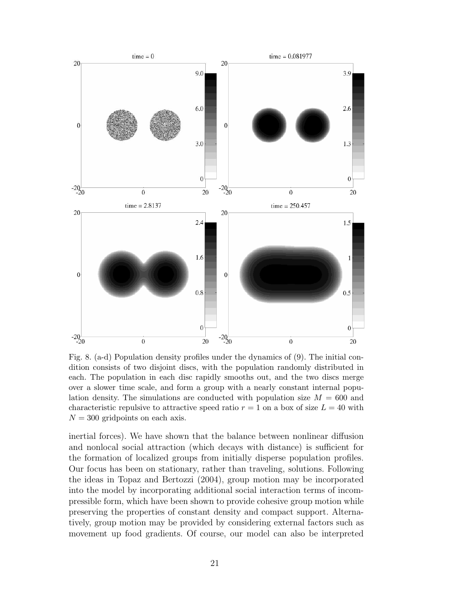

Fig. 8. (a-d) Population density profiles under the dynamics of (9). The initial condition consists of two disjoint discs, with the population randomly distributed in each. The population in each disc rapidly smooths out, and the two discs merge over a slower time scale, and form a group with a nearly constant internal population density. The simulations are conducted with population size  $M = 600$  and characteristic repulsive to attractive speed ratio  $r = 1$  on a box of size  $L = 40$  with  $N = 300$  gridpoints on each axis.

inertial forces). We have shown that the balance between nonlinear diffusion and nonlocal social attraction (which decays with distance) is sufficient for the formation of localized groups from initially disperse population profiles. Our focus has been on stationary, rather than traveling, solutions. Following the ideas in Topaz and Bertozzi (2004), group motion may be incorporated into the model by incorporating additional social interaction terms of incompressible form, which have been shown to provide cohesive group motion while preserving the properties of constant density and compact support. Alternatively, group motion may be provided by considering external factors such as movement up food gradients. Of course, our model can also be interpreted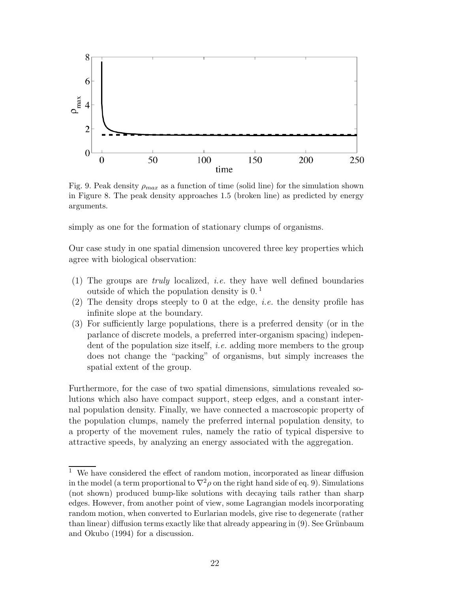

Fig. 9. Peak density  $\rho_{max}$  as a function of time (solid line) for the simulation shown in Figure 8. The peak density approaches 1.5 (broken line) as predicted by energy arguments.

simply as one for the formation of stationary clumps of organisms.

Our case study in one spatial dimension uncovered three key properties which agree with biological observation:

- (1) The groups are *truly* localized, *i.e.* they have well defined boundaries outside of which the population density is  $0<sup>1</sup>$ .
- (2) The density drops steeply to 0 at the edge, *i.e.* the density profile has infinite slope at the boundary.
- (3) For sufficiently large populations, there is a preferred density (or in the parlance of discrete models, a preferred inter-organism spacing) independent of the population size itself, i.e. adding more members to the group does not change the "packing" of organisms, but simply increases the spatial extent of the group.

Furthermore, for the case of two spatial dimensions, simulations revealed solutions which also have compact support, steep edges, and a constant internal population density. Finally, we have connected a macroscopic property of the population clumps, namely the preferred internal population density, to a property of the movement rules, namely the ratio of typical dispersive to attractive speeds, by analyzing an energy associated with the aggregation.

 $1$  We have considered the effect of random motion, incorporated as linear diffusion in the model (a term proportional to  $\nabla^2 \rho$  on the right hand side of eq. 9). Simulations (not shown) produced bump-like solutions with decaying tails rather than sharp edges. However, from another point of view, some Lagrangian models incorporating random motion, when converted to Eurlarian models, give rise to degenerate (rather  $\{\text{than linear}\}\$  diffusion terms exactly like that already appearing in (9). See Grünbaum and Okubo (1994) for a discussion.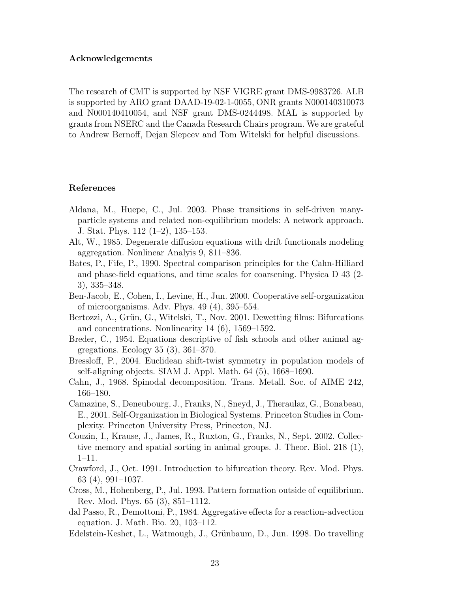### Acknowledgements

The research of CMT is supported by NSF VIGRE grant DMS-9983726. ALB is supported by ARO grant DAAD-19-02-1-0055, ONR grants N000140310073 and N000140410054, and NSF grant DMS-0244498. MAL is supported by grants from NSERC and the Canada Research Chairs program. We are grateful to Andrew Bernoff, Dejan Slepcev and Tom Witelski for helpful discussions.

#### References

- Aldana, M., Huepe, C., Jul. 2003. Phase transitions in self-driven manyparticle systems and related non-equilibrium models: A network approach. J. Stat. Phys. 112 (1–2), 135–153.
- Alt, W., 1985. Degenerate diffusion equations with drift functionals modeling aggregation. Nonlinear Analyis 9, 811–836.
- Bates, P., Fife, P., 1990. Spectral comparison principles for the Cahn-Hilliard and phase-field equations, and time scales for coarsening. Physica D 43 (2- 3), 335–348.
- Ben-Jacob, E., Cohen, I., Levine, H., Jun. 2000. Cooperative self-organization of microorganisms. Adv. Phys. 49 (4), 395–554.
- Bertozzi, A., Grün, G., Witelski, T., Nov. 2001. Dewetting films: Bifurcations and concentrations. Nonlinearity 14 (6), 1569–1592.
- Breder, C., 1954. Equations descriptive of fish schools and other animal aggregations. Ecology 35 (3), 361–370.
- Bressloff, P., 2004. Euclidean shift-twist symmetry in population models of self-aligning objects. SIAM J. Appl. Math. 64 (5), 1668–1690.
- Cahn, J., 1968. Spinodal decomposition. Trans. Metall. Soc. of AIME 242, 166–180.
- Camazine, S., Deneubourg, J., Franks, N., Sneyd, J., Theraulaz, G., Bonabeau, E., 2001. Self-Organization in Biological Systems. Princeton Studies in Complexity. Princeton University Press, Princeton, NJ.
- Couzin, I., Krause, J., James, R., Ruxton, G., Franks, N., Sept. 2002. Collective memory and spatial sorting in animal groups. J. Theor. Biol. 218 (1), 1–11.
- Crawford, J., Oct. 1991. Introduction to bifurcation theory. Rev. Mod. Phys. 63 (4), 991–1037.
- Cross, M., Hohenberg, P., Jul. 1993. Pattern formation outside of equilibrium. Rev. Mod. Phys. 65 (3), 851–1112.
- dal Passo, R., Demottoni, P., 1984. Aggregative effects for a reaction-advection equation. J. Math. Bio. 20, 103–112.
- Edelstein-Keshet, L., Watmough, J., Grünbaum, D., Jun. 1998. Do travelling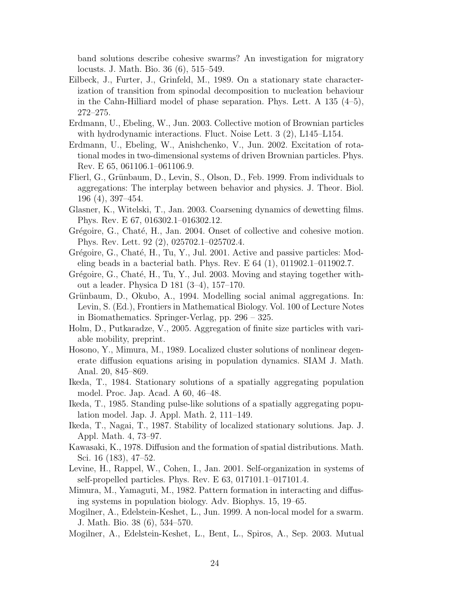band solutions describe cohesive swarms? An investigation for migratory locusts. J. Math. Bio. 36 (6), 515–549.

- Eilbeck, J., Furter, J., Grinfeld, M., 1989. On a stationary state characterization of transition from spinodal decomposition to nucleation behaviour in the Cahn-Hilliard model of phase separation. Phys. Lett. A 135 (4–5), 272–275.
- Erdmann, U., Ebeling, W., Jun. 2003. Collective motion of Brownian particles with hydrodynamic interactions. Fluct. Noise Lett. 3 (2), L145–L154.
- Erdmann, U., Ebeling, W., Anishchenko, V., Jun. 2002. Excitation of rotational modes in two-dimensional systems of driven Brownian particles. Phys. Rev. E 65, 061106.1–061106.9.
- Flierl, G., Grünbaum, D., Levin, S., Olson, D., Feb. 1999. From individuals to aggregations: The interplay between behavior and physics. J. Theor. Biol. 196 (4), 397–454.
- Glasner, K., Witelski, T., Jan. 2003. Coarsening dynamics of dewetting films. Phys. Rev. E 67, 016302.1–016302.12.
- Grégoire, G., Chaté, H., Jan. 2004. Onset of collective and cohesive motion. Phys. Rev. Lett. 92 (2), 025702.1–025702.4.
- Grégoire, G., Chaté, H., Tu, Y., Jul. 2001. Active and passive particles: Modeling beads in a bacterial bath. Phys. Rev. E 64 (1), 011902.1–011902.7.
- Grégoire, G., Chaté, H., Tu, Y., Jul. 2003. Moving and staying together without a leader. Physica D 181 (3–4), 157–170.
- Grünbaum, D., Okubo, A., 1994. Modelling social animal aggregations. In: Levin, S. (Ed.), Frontiers in Mathematical Biology. Vol. 100 of Lecture Notes in Biomathematics. Springer-Verlag, pp. 296 – 325.
- Holm, D., Putkaradze, V., 2005. Aggregation of finite size particles with variable mobility, preprint.
- Hosono, Y., Mimura, M., 1989. Localized cluster solutions of nonlinear degenerate diffusion equations arising in population dynamics. SIAM J. Math. Anal. 20, 845–869.
- Ikeda, T., 1984. Stationary solutions of a spatially aggregating population model. Proc. Jap. Acad. A 60, 46–48.
- Ikeda, T., 1985. Standing pulse-like solutions of a spatially aggregating population model. Jap. J. Appl. Math. 2, 111–149.
- Ikeda, T., Nagai, T., 1987. Stability of localized stationary solutions. Jap. J. Appl. Math. 4, 73–97.
- Kawasaki, K., 1978. Diffusion and the formation of spatial distributions. Math. Sci. 16 (183), 47–52.
- Levine, H., Rappel, W., Cohen, I., Jan. 2001. Self-organization in systems of self-propelled particles. Phys. Rev. E 63, 017101.1–017101.4.
- Mimura, M., Yamaguti, M., 1982. Pattern formation in interacting and diffusing systems in population biology. Adv. Biophys. 15, 19–65.
- Mogilner, A., Edelstein-Keshet, L., Jun. 1999. A non-local model for a swarm. J. Math. Bio. 38 (6), 534–570.
- Mogilner, A., Edelstein-Keshet, L., Bent, L., Spiros, A., Sep. 2003. Mutual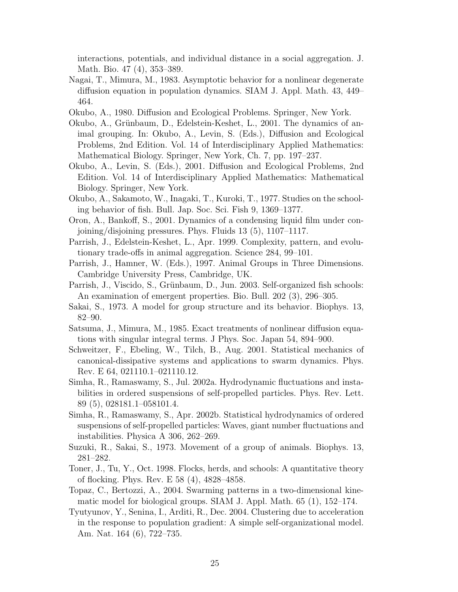interactions, potentials, and individual distance in a social aggregation. J. Math. Bio. 47 (4), 353–389.

- Nagai, T., Mimura, M., 1983. Asymptotic behavior for a nonlinear degenerate diffusion equation in population dynamics. SIAM J. Appl. Math. 43, 449– 464.
- Okubo, A., 1980. Diffusion and Ecological Problems. Springer, New York.
- Okubo, A., Grünbaum, D., Edelstein-Keshet, L., 2001. The dynamics of animal grouping. In: Okubo, A., Levin, S. (Eds.), Diffusion and Ecological Problems, 2nd Edition. Vol. 14 of Interdisciplinary Applied Mathematics: Mathematical Biology. Springer, New York, Ch. 7, pp. 197–237.
- Okubo, A., Levin, S. (Eds.), 2001. Diffusion and Ecological Problems, 2nd Edition. Vol. 14 of Interdisciplinary Applied Mathematics: Mathematical Biology. Springer, New York.
- Okubo, A., Sakamoto, W., Inagaki, T., Kuroki, T., 1977. Studies on the schooling behavior of fish. Bull. Jap. Soc. Sci. Fish 9, 1369–1377.
- Oron, A., Bankoff, S., 2001. Dynamics of a condensing liquid film under conjoining/disjoining pressures. Phys. Fluids 13 (5), 1107–1117.
- Parrish, J., Edelstein-Keshet, L., Apr. 1999. Complexity, pattern, and evolutionary trade-offs in animal aggregation. Science 284, 99–101.
- Parrish, J., Hamner, W. (Eds.), 1997. Animal Groups in Three Dimensions. Cambridge University Press, Cambridge, UK.
- Parrish, J., Viscido, S., Grünbaum, D., Jun. 2003. Self-organized fish schools: An examination of emergent properties. Bio. Bull. 202 (3), 296–305.
- Sakai, S., 1973. A model for group structure and its behavior. Biophys. 13, 82–90.
- Satsuma, J., Mimura, M., 1985. Exact treatments of nonlinear diffusion equations with singular integral terms. J Phys. Soc. Japan 54, 894–900.
- Schweitzer, F., Ebeling, W., Tilch, B., Aug. 2001. Statistical mechanics of canonical-dissipative systems and applications to swarm dynamics. Phys. Rev. E 64, 021110.1–021110.12.
- Simha, R., Ramaswamy, S., Jul. 2002a. Hydrodynamic fluctuations and instabilities in ordered suspensions of self-propelled particles. Phys. Rev. Lett. 89 (5), 028181.1–058101.4.
- Simha, R., Ramaswamy, S., Apr. 2002b. Statistical hydrodynamics of ordered suspensions of self-propelled particles: Waves, giant number fluctuations and instabilities. Physica A 306, 262–269.
- Suzuki, R., Sakai, S., 1973. Movement of a group of animals. Biophys. 13, 281–282.
- Toner, J., Tu, Y., Oct. 1998. Flocks, herds, and schools: A quantitative theory of flocking. Phys. Rev. E 58 (4), 4828–4858.
- Topaz, C., Bertozzi, A., 2004. Swarming patterns in a two-dimensional kinematic model for biological groups. SIAM J. Appl. Math. 65 (1), 152–174.
- Tyutyunov, Y., Senina, I., Arditi, R., Dec. 2004. Clustering due to acceleration in the response to population gradient: A simple self-organizational model. Am. Nat. 164 (6), 722–735.